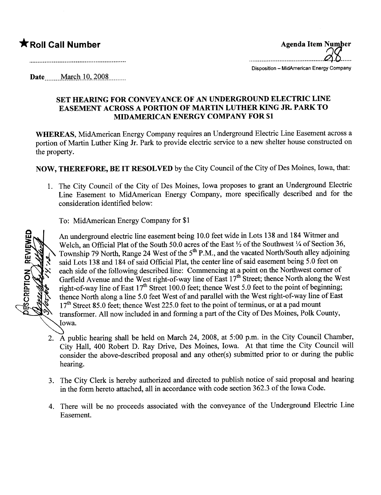## $\bigstar$  Roll Call Number

|             | Agenda Item Number<br>$Q_1$       |
|-------------|-----------------------------------|
| Diamaniilam | <b>MidAmpelper Chasev Compony</b> |

Disposition - MidAmerican Energy Company

**Date** ... ... **March** 10, 2008

## SET HEARNG FOR CONVEYANCE OF AN UNDERGROUND ELECTRIC LINE EASEMENT ACROSS A PORTION OF MARTIN LUTHER KING JR. PARK TO MIDAMERICAN ENERGY COMPANY FOR \$1

WHEREAS, MidAmerican Energy Company requires an Underground Electric Line Easement across a portion of Marin Luther King Jr. Park to provide electric service to a new shelter house constructed on the property.

NOW, THEREFORE, BE IT RESOLVED by the City Council of the City of Des Moines, Iowa, that:

1. The City Council of the City of Des Moines, Iowa proposes to grant an Underground Electric Line Easement to MidAmerican Energy Company, more specifically described and for the consideration identified below:

To: MidAmerican Energy Company for \$1



An underground electric line easement being 10.0 feet wide in Lots 138 and 184 Witmer and Welch, an Official Plat of the South 50.0 acres of the East  $\frac{1}{2}$  of the Southwest  $\frac{1}{4}$  of Section 36, Township 79 North, Range 24 West of the  $5<sup>th</sup>$  P.M., and the vacated North/South alley adjoining said Lots 138 and 184 of said Official Plat, the center line of said easement being 5.0 feet on each side of the following described line: Commencing at a point on the Northwest comer of Garfield Avenue and the West right-of-way line of East  $17<sup>th</sup>$  Street; thence North along the West right-of-way line of East  $17<sup>th</sup>$  Street 100.0 feet; thence West 5.0 feet to the point of beginning; thence North along a line 5.0 feet West of and parallel with the West right-of-way line of East  $17<sup>th</sup>$  Street 85.0 feet; thence West 225.0 feet to the point of terminus, or at a pad mount transformer. All now included in and forming a part of the City of Des Moines, Polk County, Iowa.

- 2. A public hearng shall be held on March 24, 2008, at 5:00 p.m. in the City Council Chamber, City Hall, 400 Robert D. Ray Drive, Des Moines, Iowa. At that time the City Council wil consider the above-described proposal and any other(s) submitted prior to or during the public hearing.
- 3. The City Clerk is hereby authorized and directed to publish notice of said proposal and hearing in the form hereto attached, all in accordance with code section 362.3 of the Iowa Code.
- 4. There will be no proceeds associated with the conveyance of the Underground Electric Line Easement.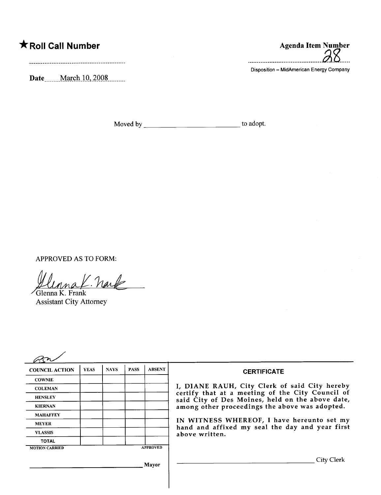## \* Roll Call Number Agenda Item Number

Date........ March 10, 2008.........

..........................................dJ.Z.....

Disposition - MidAmerican Energy Company

Moved by to adopt.

APPROVED AS TO FORM:

Uluna K. Prank

Assistant City Attorney

| <b>COUNCIL ACTION</b> | <b>YEAS</b> | <b>NAYS</b> | <b>PASS</b> | <b>ABSENT</b>   | <b>CERTIFICATE</b>                                                                                                                                     |
|-----------------------|-------------|-------------|-------------|-----------------|--------------------------------------------------------------------------------------------------------------------------------------------------------|
| <b>COWNIE</b>         |             |             |             |                 |                                                                                                                                                        |
| <b>COLEMAN</b>        |             |             |             |                 | I, DIANE RAUH, City Clerk of said City hereby                                                                                                          |
| <b>HENSLEY</b>        |             |             |             |                 | certify that at a meeting of the City Council of<br>said City of Des Moines, held on the above date,<br>among other proceedings the above was adopted. |
| <b>KIERNAN</b>        |             |             |             |                 |                                                                                                                                                        |
| <b>MAHAFFEY</b>       |             |             |             |                 |                                                                                                                                                        |
| <b>MEYER</b>          |             |             |             |                 | IN WITNESS WHEREOF, I have hereunto set my                                                                                                             |
| <b>VLASSIS</b>        |             |             |             |                 | hand and affixed my seal the day and year first<br>above written.                                                                                      |
| <b>TOTAL</b>          |             |             |             |                 |                                                                                                                                                        |
| <b>MOTION CARRIED</b> |             |             |             | <b>APPROVED</b> |                                                                                                                                                        |
|                       |             |             |             | Mayor           | City Clerk                                                                                                                                             |